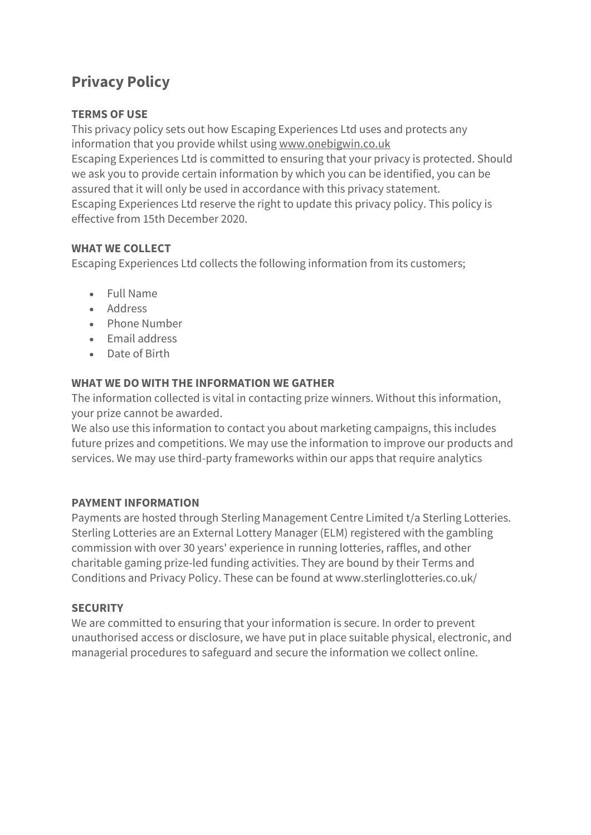# **Privacy Policy**

## **TERMS OF USE**

This privacy policy sets out how Escaping Experiences Ltd uses and protects any information that you provide whilst using [www.onebigwin.co.uk](http://www.onebigwin.co.uk/) Escaping Experiences Ltd is committed to ensuring that your privacy is protected. Should we ask you to provide certain information by which you can be identified, you can be assured that it will only be used in accordance with this privacy statement. Escaping Experiences Ltd reserve the right to update this privacy policy. This policy is effective from 15th December 2020.

### **WHAT WE COLLECT**

Escaping Experiences Ltd collects the following information from its customers;

- Full Name
- Address
- Phone Number
- Email address
- Date of Birth

### **WHAT WE DO WITH THE INFORMATION WE GATHER**

The information collected is vital in contacting prize winners. Without this information, your prize cannot be awarded.

We also use this information to contact you about marketing campaigns, this includes future prizes and competitions. We may use the information to improve our products and services. We may use third-party frameworks within our apps that require analytics

### **PAYMENT INFORMATION**

Payments are hosted through Sterling Management Centre Limited t/a Sterling Lotteries. Sterling Lotteries are an External Lottery Manager (ELM) registered with the gambling commission with over 30 years' experience in running lotteries, raffles, and other charitable gaming prize-led funding activities. They are bound by their Terms and Conditions and Privacy Policy. These can be found at www.sterlinglotteries.co.uk/

### **SECURITY**

We are committed to ensuring that your information is secure. In order to prevent unauthorised access or disclosure, we have put in place suitable physical, electronic, and managerial procedures to safeguard and secure the information we collect online.